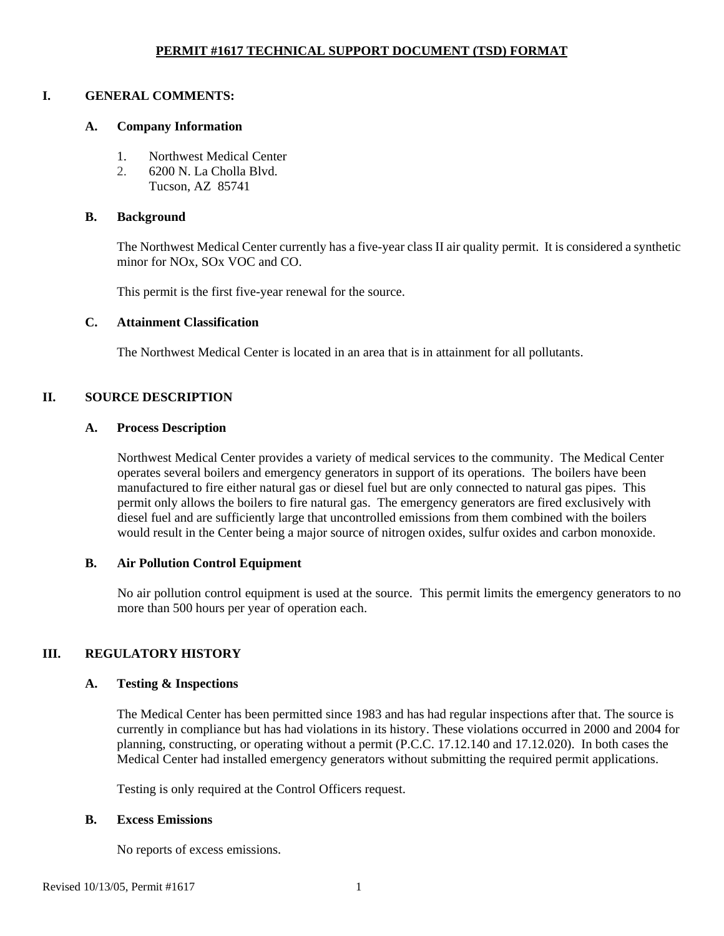## **PERMIT #1617 TECHNICAL SUPPORT DOCUMENT (TSD) FORMAT**

#### **I. GENERAL COMMENTS:**

## **A. Company Information**

- 1. Northwest Medical Center
- 2. 6200 N. La Cholla Blvd.
- Tucson, AZ 85741

## **B. Background**

The Northwest Medical Center currently has a five-year class II air quality permit. It is considered a synthetic minor for NOx, SOx VOC and CO.

This permit is the first five-year renewal for the source.

# **C. Attainment Classification**

The Northwest Medical Center is located in an area that is in attainment for all pollutants.

## **II. SOURCE DESCRIPTION**

## **A. Process Description**

Northwest Medical Center provides a variety of medical services to the community. The Medical Center operates several boilers and emergency generators in support of its operations. The boilers have been manufactured to fire either natural gas or diesel fuel but are only connected to natural gas pipes. This permit only allows the boilers to fire natural gas. The emergency generators are fired exclusively with diesel fuel and are sufficiently large that uncontrolled emissions from them combined with the boilers would result in the Center being a major source of nitrogen oxides, sulfur oxides and carbon monoxide.

# **B. Air Pollution Control Equipment**

No air pollution control equipment is used at the source. This permit limits the emergency generators to no more than 500 hours per year of operation each.

# **III. REGULATORY HISTORY**

#### **A. Testing & Inspections**

The Medical Center has been permitted since 1983 and has had regular inspections after that. The source is currently in compliance but has had violations in its history. These violations occurred in 2000 and 2004 for planning, constructing, or operating without a permit (P.C.C. 17.12.140 and 17.12.020). In both cases the Medical Center had installed emergency generators without submitting the required permit applications.

Testing is only required at the Control Officers request.

#### **B. Excess Emissions**

No reports of excess emissions.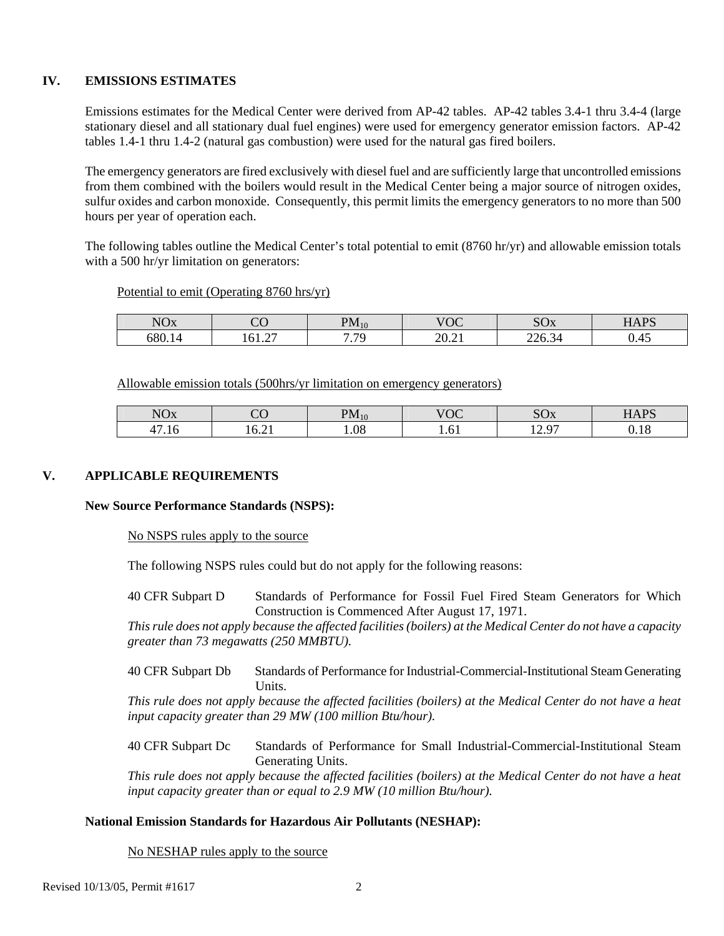#### **IV. EMISSIONS ESTIMATES**

Emissions estimates for the Medical Center were derived from AP-42 tables. AP-42 tables 3.4-1 thru 3.4-4 (large stationary diesel and all stationary dual fuel engines) were used for emergency generator emission factors. AP-42 tables 1.4-1 thru 1.4-2 (natural gas combustion) were used for the natural gas fired boilers.

 The emergency generators are fired exclusively with diesel fuel and are sufficiently large that uncontrolled emissions from them combined with the boilers would result in the Medical Center being a major source of nitrogen oxides, sulfur oxides and carbon monoxide. Consequently, this permit limits the emergency generators to no more than 500 hours per year of operation each.

 The following tables outline the Medical Center's total potential to emit (8760 hr/yr) and allowable emission totals with a 500 hr/yr limitation on generators:

#### Potential to emit (Operating 8760 hrs/yr)

| <b>NOx</b>  | $\sim$                  | PМ                           | $\sqrt{100}$<br>"UC | $\sim$<br>$\mathbf{r}$<br>IJΩ      | $U$ $\Lambda$ $DC$<br>$\bf{u}$ |
|-------------|-------------------------|------------------------------|---------------------|------------------------------------|--------------------------------|
| 680.1<br>╹△ | $\sim$<br>$\sim$ $\sim$ | 7.70<br>J<br>$\cdot$ $\cdot$ | 20.21               | nη<br>$\sim$<br>226.34<br>$\Delta$ | . .<br>v.4J                    |

Allowable emission totals (500hrs/yr limitation on emergency generators)

| <b>NOx</b>     |                    | <b>PM</b> | $\overline{1100}$<br>$\sqrt{ }$<br>UC | $\mathbf{v}$<br>υUΛ        | $U$ $\Lambda$ $DC$<br>$\mathbf{H}$ |
|----------------|--------------------|-----------|---------------------------------------|----------------------------|------------------------------------|
| $\overline{ }$ | $\cdot \cup \cdot$ | ΛO<br>.Uð | 1.01                                  | $\Omega$<br>$\sim$<br>14.Z | $\Omega$<br>v. 1 o                 |

#### **V. APPLICABLE REQUIREMENTS**

#### **New Source Performance Standards (NSPS):**

#### No NSPS rules apply to the source

The following NSPS rules could but do not apply for the following reasons:

40 CFR Subpart D Standards of Performance for Fossil Fuel Fired Steam Generators for Which Construction is Commenced After August 17, 1971.

*This rule does not apply because the affected facilities (boilers) at the Medical Center do not have a capacity greater than 73 megawatts (250 MMBTU).* 

40 CFR Subpart Db Standards of Performance for Industrial-Commercial-Institutional Steam Generating Units.

*This rule does not apply because the affected facilities (boilers) at the Medical Center do not have a heat input capacity greater than 29 MW (100 million Btu/hour).*

40 CFR Subpart Dc Standards of Performance for Small Industrial-Commercial-Institutional Steam Generating Units.

*This rule does not apply because the affected facilities (boilers) at the Medical Center do not have a heat input capacity greater than or equal to 2.9 MW (10 million Btu/hour).*

#### **National Emission Standards for Hazardous Air Pollutants (NESHAP):**

No NESHAP rules apply to the source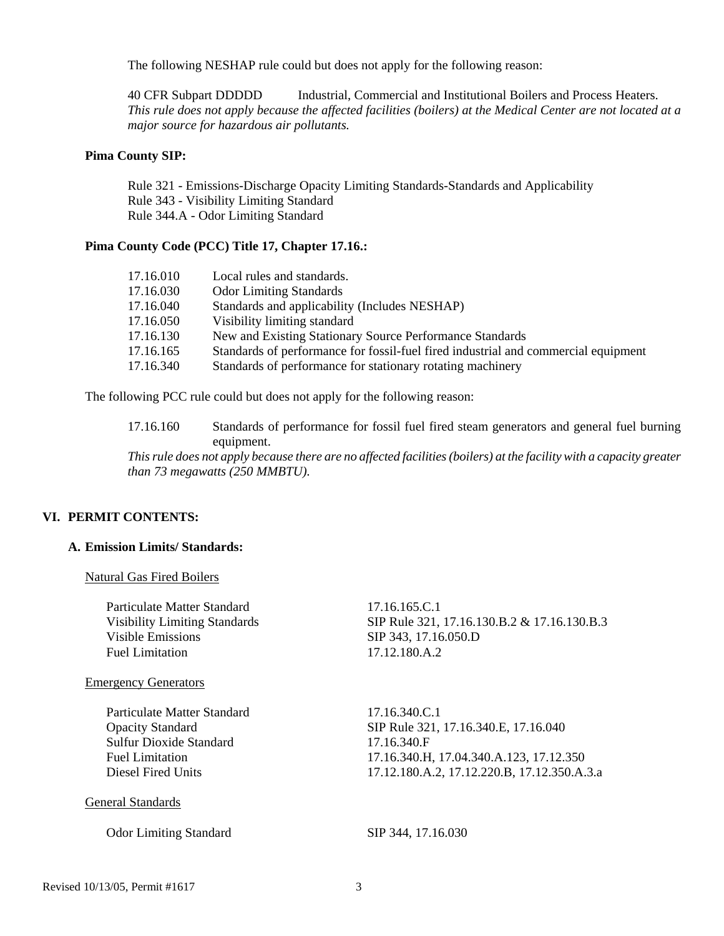The following NESHAP rule could but does not apply for the following reason:

40 CFR Subpart DDDDD Industrial, Commercial and Institutional Boilers and Process Heaters. *This rule does not apply because the affected facilities (boilers) at the Medical Center are not located at a major source for hazardous air pollutants.* 

#### **Pima County SIP:**

Rule 321 - Emissions-Discharge Opacity Limiting Standards-Standards and Applicability Rule 343 - Visibility Limiting Standard Rule 344.A - Odor Limiting Standard

#### **Pima County Code (PCC) Title 17, Chapter 17.16.:**

| 17.16.010 | Local rules and standards.                                                         |
|-----------|------------------------------------------------------------------------------------|
| 17.16.030 | <b>Odor Limiting Standards</b>                                                     |
| 17.16.040 | Standards and applicability (Includes NESHAP)                                      |
| 17.16.050 | Visibility limiting standard                                                       |
| 17.16.130 | New and Existing Stationary Source Performance Standards                           |
| 17.16.165 | Standards of performance for fossil-fuel fired industrial and commercial equipment |
| 17.16.340 | Standards of performance for stationary rotating machinery                         |

The following PCC rule could but does not apply for the following reason:

17.16.160 Standards of performance for fossil fuel fired steam generators and general fuel burning equipment.

*This rule does not apply because there are no affected facilities (boilers) at the facility with a capacity greater than 73 megawatts (250 MMBTU).* 

# **VI. PERMIT CONTENTS:**

#### **A. Emission Limits/ Standards:**

#### Natural Gas Fired Boilers

| Particulate Matter Standard          | 17.16.165.C.1                               |
|--------------------------------------|---------------------------------------------|
| <b>Visibility Limiting Standards</b> | SIP Rule 321, 17.16.130.B.2 & 17.16.130.B.3 |
| Visible Emissions                    | SIP 343, 17.16.050.D                        |
| <b>Fuel Limitation</b>               | 17.12.180.A.2                               |
| <b>Emergency Generators</b>          |                                             |
| Particulate Matter Standard          | 17.16.340.C.1                               |
| <b>Opacity Standard</b>              | SIP Rule 321, 17.16.340.E, 17.16.040        |
| Sulfur Dioxide Standard              | 17.16.340.F                                 |
| <b>Fuel Limitation</b>               | 17.16.340.H, 17.04.340.A.123, 17.12.350     |
| Diesel Fired Units                   | 17.12.180.A.2, 17.12.220.B, 17.12.350.A.3.a |
| <b>General Standards</b>             |                                             |
| <b>Odor Limiting Standard</b>        | SIP 344, 17.16.030                          |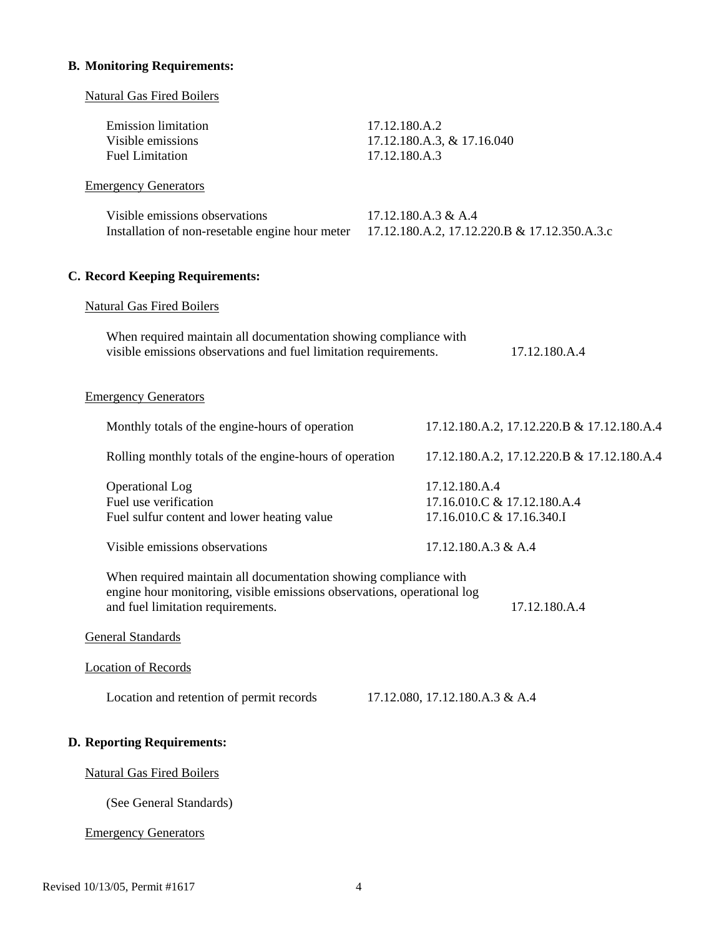# **B. Monitoring Requirements:**

| <b>Natural Gas Fired Boilers</b>                                                                                                                                                 |                                |                                            |                                              |
|----------------------------------------------------------------------------------------------------------------------------------------------------------------------------------|--------------------------------|--------------------------------------------|----------------------------------------------|
| <b>Emission</b> limitation<br>Visible emissions<br><b>Fuel Limitation</b>                                                                                                        | 17.12.180.A.2<br>17.12.180.A.3 | 17.12.180.A.3, & 17.16.040                 |                                              |
| <b>Emergency Generators</b>                                                                                                                                                      |                                |                                            |                                              |
| Visible emissions observations<br>Installation of non-resetable engine hour meter                                                                                                |                                | 17.12.180.A.3 & A.4                        | 17.12.180.A.2, 17.12.220.B & 17.12.350.A.3.c |
| <b>C. Record Keeping Requirements:</b>                                                                                                                                           |                                |                                            |                                              |
| <b>Natural Gas Fired Boilers</b>                                                                                                                                                 |                                |                                            |                                              |
| When required maintain all documentation showing compliance with<br>visible emissions observations and fuel limitation requirements.                                             |                                |                                            | 17.12.180.A.4                                |
| <b>Emergency Generators</b>                                                                                                                                                      |                                |                                            |                                              |
| Monthly totals of the engine-hours of operation                                                                                                                                  |                                |                                            | 17.12.180.A.2, 17.12.220.B & 17.12.180.A.4   |
| Rolling monthly totals of the engine-hours of operation                                                                                                                          |                                |                                            | 17.12.180.A.2, 17.12.220.B & 17.12.180.A.4   |
| <b>Operational Log</b><br>Fuel use verification<br>Fuel sulfur content and lower heating value                                                                                   |                                | 17.12.180.A.4<br>17.16.010.C & 17.16.340.I | 17.16.010.C & 17.12.180.A.4                  |
| Visible emissions observations                                                                                                                                                   |                                | 17.12.180.A.3 & A.4                        |                                              |
| When required maintain all documentation showing compliance with<br>engine hour monitoring, visible emissions observations, operational log<br>and fuel limitation requirements. |                                | 17.12.180.A.4                              |                                              |
| <b>General Standards</b>                                                                                                                                                         |                                |                                            |                                              |
| <b>Location of Records</b>                                                                                                                                                       |                                |                                            |                                              |
| Location and retention of permit records                                                                                                                                         |                                | 17.12.080, 17.12.180.A.3 & A.4             |                                              |
| <b>D. Reporting Requirements:</b>                                                                                                                                                |                                |                                            |                                              |
| <b>Natural Gas Fired Boilers</b>                                                                                                                                                 |                                |                                            |                                              |
| (See General Standards)                                                                                                                                                          |                                |                                            |                                              |
| <b>Emergency Generators</b>                                                                                                                                                      |                                |                                            |                                              |